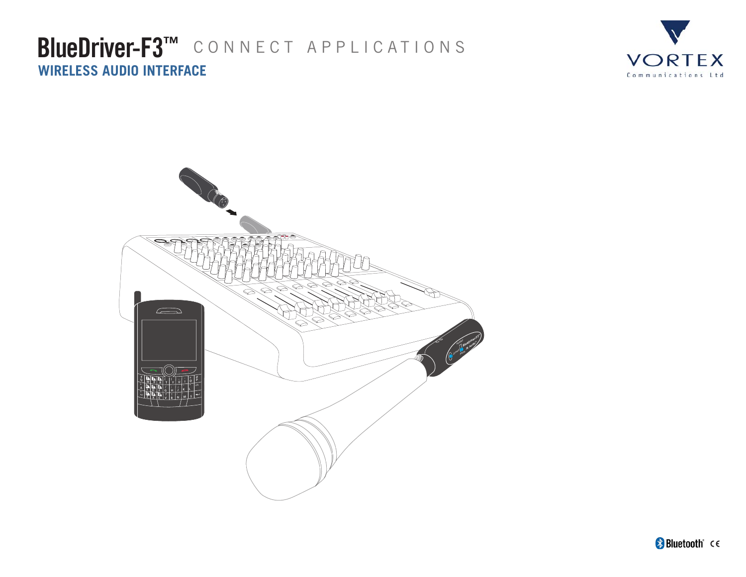## BlueDriver-F3<sup>™</sup> CONNECT APPLICATIONS **WIRELESS AUDIO INTERFACE**



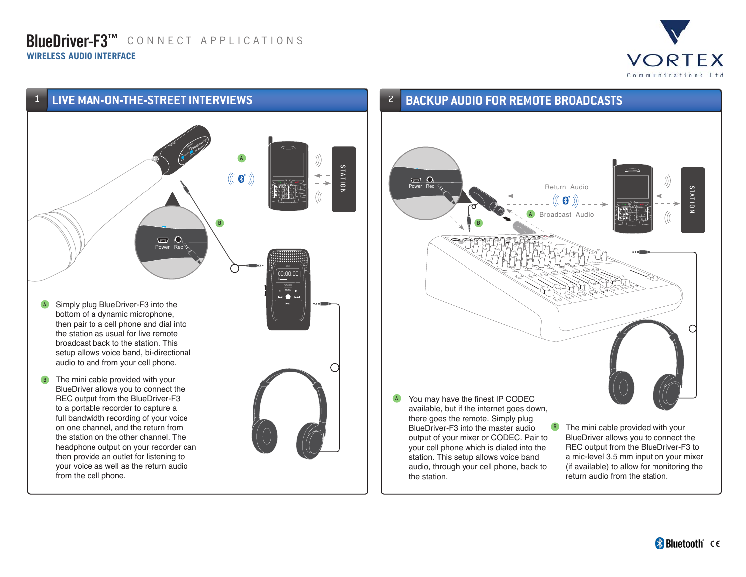### **BlueDriver-F3™** connect applications **WIRELESS AUDIO INTERFACE**





### 2 **BACKUP AUDIO FOR REMOTE BROADCASTS**

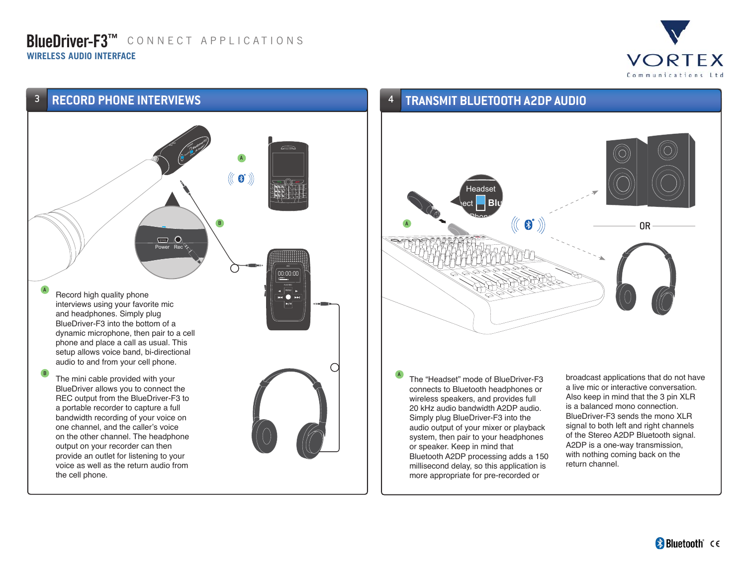### **BlueDriver-F3™** connect applications **WIRELESS AUDIO INTERFACE**





#### 4 **TRANSMIT BLUETOOTH A2DP AUDIO**



The "Headset" mode of BlueDriver-F3 connects to Bluetooth headphones or wireless speakers, and provides full 20 kHz audio bandwidth A2DP audio. Simply plug BlueDriver-F3 into the audio output of your mixer or playback system, then pair to your headphones or speaker. Keep in mind that Bluetooth A2DP processing adds a 150 millisecond delay, so this application is more appropriate for pre-recorded or

A

broadcast applications that do not have a live mic or interactive conversation. Also keep in mind that the 3 pin XLR is a balanced mono connection. BlueDriver-F3 sends the mono XLR signal to both left and right channels of the Stereo A2DP Bluetooth signal. A2DP is a one-way transmission, with nothing coming back on the return channel.